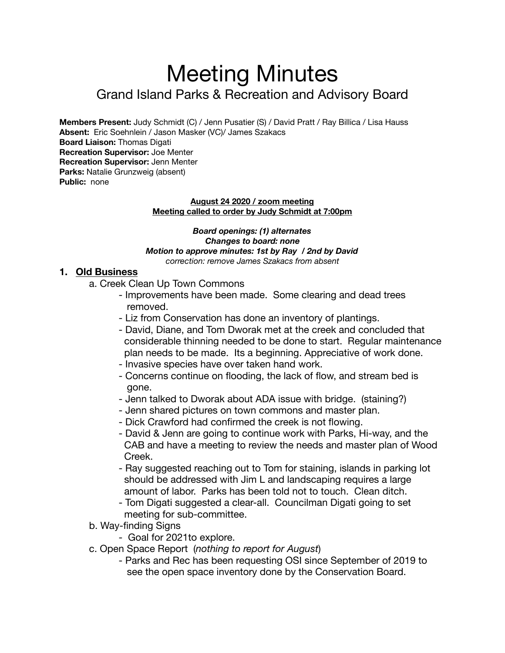# Meeting Minutes

## Grand Island Parks & Recreation and Advisory Board

**Members Present:** Judy Schmidt (C) / Jenn Pusatier (S) / David Pratt / Ray Billica / Lisa Hauss **Absent:** Eric Soehnlein / Jason Masker (VC)/ James Szakacs **Board Liaison:** Thomas Digati **Recreation Supervisor:** Joe Menter **Recreation Supervisor:** Jenn Menter **Parks:** Natalie Grunzweig (absent) **Public:** none

#### **August 24 2020 / zoom meeting Meeting called to order by Judy Schmidt at 7:00pm**

*Board openings: (1) alternates Changes to board: none Motion to approve minutes: 1st by Ray / 2nd by David correction: remove James Szakacs from absent* 

#### **1. Old Business**

- a. Creek Clean Up Town Commons
	- Improvements have been made. Some clearing and dead trees removed.
	- Liz from Conservation has done an inventory of plantings.
	- David, Diane, and Tom Dworak met at the creek and concluded that considerable thinning needed to be done to start. Regular maintenance plan needs to be made. Its a beginning. Appreciative of work done.
	- Invasive species have over taken hand work.
	- Concerns continue on flooding, the lack of flow, and stream bed is gone.
	- Jenn talked to Dworak about ADA issue with bridge. (staining?)
	- Jenn shared pictures on town commons and master plan.
	- Dick Crawford had confirmed the creek is not flowing.
	- David & Jenn are going to continue work with Parks, Hi-way, and the CAB and have a meeting to review the needs and master plan of Wood Creek.
	- Ray suggested reaching out to Tom for staining, islands in parking lot should be addressed with Jim L and landscaping requires a large amount of labor. Parks has been told not to touch. Clean ditch.
	- Tom Digati suggested a clear-all. Councilman Digati going to set meeting for sub-committee.
- b. Way-finding Signs
	- Goal for 2021to explore.
- c. Open Space Report (*nothing to report for August*)
	- Parks and Rec has been requesting OSI since September of 2019 to see the open space inventory done by the Conservation Board.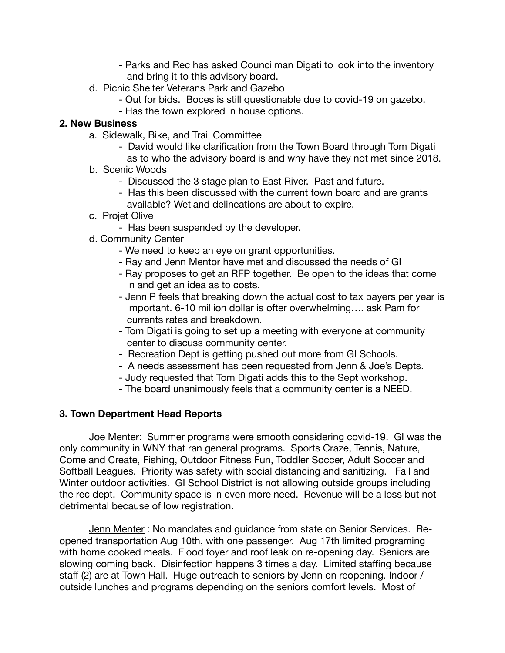- Parks and Rec has asked Councilman Digati to look into the inventory and bring it to this advisory board.
- d. Picnic Shelter Veterans Park and Gazebo
	- Out for bids. Boces is still questionable due to covid-19 on gazebo.
	- Has the town explored in house options.

#### **2. New Business**

- a. Sidewalk, Bike, and Trail Committee
	- David would like clarification from the Town Board through Tom Digati as to who the advisory board is and why have they not met since 2018.
- b. Scenic Woods
	- Discussed the 3 stage plan to East River. Past and future.
	- Has this been discussed with the current town board and are grants available? Wetland delineations are about to expire.
- c. Projet Olive
	- Has been suspended by the developer.
- d. Community Center
	- We need to keep an eye on grant opportunities.
	- Ray and Jenn Mentor have met and discussed the needs of GI
	- Ray proposes to get an RFP together. Be open to the ideas that come in and get an idea as to costs.
	- Jenn P feels that breaking down the actual cost to tax payers per year is important. 6-10 million dollar is ofter overwhelming…. ask Pam for currents rates and breakdown.
	- Tom Digati is going to set up a meeting with everyone at community center to discuss community center.
	- Recreation Dept is getting pushed out more from GI Schools.
	- A needs assessment has been requested from Jenn & Joe's Depts.
	- Judy requested that Tom Digati adds this to the Sept workshop.
	- The board unanimously feels that a community center is a NEED.

### **3. Town Department Head Reports**

Joe Menter: Summer programs were smooth considering covid-19. GI was the only community in WNY that ran general programs. Sports Craze, Tennis, Nature, Come and Create, Fishing, Outdoor Fitness Fun, Toddler Soccer, Adult Soccer and Softball Leagues. Priority was safety with social distancing and sanitizing. Fall and Winter outdoor activities. GI School District is not allowing outside groups including the rec dept. Community space is in even more need. Revenue will be a loss but not detrimental because of low registration.

Jenn Menter : No mandates and guidance from state on Senior Services. Reopened transportation Aug 10th, with one passenger. Aug 17th limited programing with home cooked meals. Flood foyer and roof leak on re-opening day. Seniors are slowing coming back. Disinfection happens 3 times a day. Limited staffing because staff (2) are at Town Hall. Huge outreach to seniors by Jenn on reopening. Indoor / outside lunches and programs depending on the seniors comfort levels. Most of